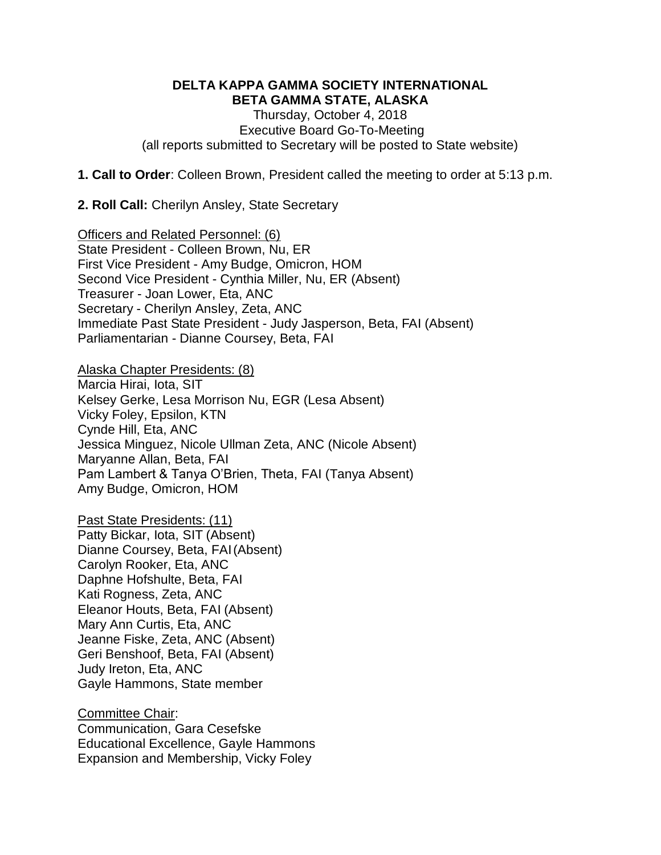#### **DELTA KAPPA GAMMA SOCIETY INTERNATIONAL BETA GAMMA STATE, ALASKA**

Thursday, October 4, 2018 Executive Board Go-To-Meeting (all reports submitted to Secretary will be posted to State website)

**1. Call to Order**: Colleen Brown, President called the meeting to order at 5:13 p.m.

**2. Roll Call:** Cherilyn Ansley, State Secretary

Officers and Related Personnel: (6) State President - Colleen Brown, Nu, ER First Vice President - Amy Budge, Omicron, HOM Second Vice President - Cynthia Miller, Nu, ER (Absent) Treasurer - Joan Lower, Eta, ANC Secretary - Cherilyn Ansley, Zeta, ANC Immediate Past State President - Judy Jasperson, Beta, FAI (Absent) Parliamentarian - Dianne Coursey, Beta, FAI

Alaska Chapter Presidents: (8) Marcia Hirai, Iota, SIT Kelsey Gerke, Lesa Morrison Nu, EGR (Lesa Absent) Vicky Foley, Epsilon, KTN Cynde Hill, Eta, ANC Jessica Minguez, Nicole Ullman Zeta, ANC (Nicole Absent) Maryanne Allan, Beta, FAI Pam Lambert & Tanya O'Brien, Theta, FAI (Tanya Absent) Amy Budge, Omicron, HOM

Past State Presidents: (11) Patty Bickar, Iota, SIT (Absent) Dianne Coursey, Beta, FAI(Absent) Carolyn Rooker, Eta, ANC Daphne Hofshulte, Beta, FAI Kati Rogness, Zeta, ANC Eleanor Houts, Beta, FAI (Absent) Mary Ann Curtis, Eta, ANC Jeanne Fiske, Zeta, ANC (Absent) Geri Benshoof, Beta, FAI (Absent) Judy Ireton, Eta, ANC Gayle Hammons, State member

Committee Chair: Communication, Gara Cesefske Educational Excellence, Gayle Hammons Expansion and Membership, Vicky Foley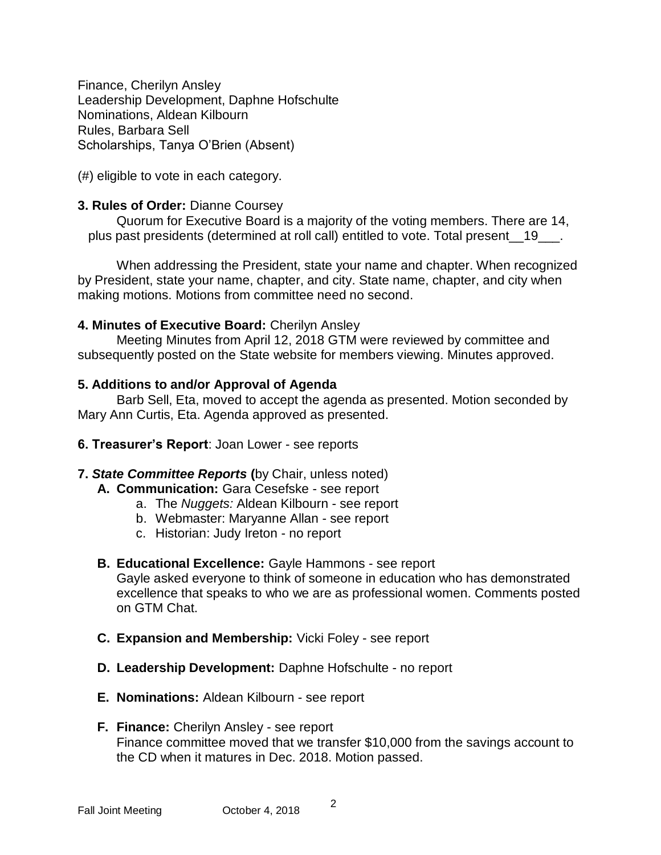Finance, Cherilyn Ansley Leadership Development, Daphne Hofschulte Nominations, Aldean Kilbourn Rules, Barbara Sell Scholarships, Tanya O'Brien (Absent)

(#) eligible to vote in each category.

### **3. Rules of Order:** Dianne Coursey

Quorum for Executive Board is a majority of the voting members. There are 14, plus past presidents (determined at roll call) entitled to vote. Total present 19 ...

When addressing the President, state your name and chapter. When recognized by President, state your name, chapter, and city. State name, chapter, and city when making motions. Motions from committee need no second.

### **4. Minutes of Executive Board:** Cherilyn Ansley

Meeting Minutes from April 12, 2018 GTM were reviewed by committee and subsequently posted on the State website for members viewing. Minutes approved.

### **5. Additions to and/or Approval of Agenda**

Barb Sell, Eta, moved to accept the agenda as presented. Motion seconded by Mary Ann Curtis, Eta. Agenda approved as presented.

**6. Treasurer's Report**: Joan Lower - see reports

### **7.** *State Committee Reports* **(**by Chair, unless noted)

- **A. Communication:** Gara Cesefske see report
	- a. The *Nuggets:* Aldean Kilbourn see report
	- b. Webmaster: Maryanne Allan see report
	- c. Historian: Judy Ireton no report

# **B. Educational Excellence:** Gayle Hammons - see report

Gayle asked everyone to think of someone in education who has demonstrated excellence that speaks to who we are as professional women. Comments posted on GTM Chat.

- **C. Expansion and Membership:** Vicki Foley see report
- **D. Leadership Development:** Daphne Hofschulte no report
- **E. Nominations:** Aldean Kilbourn see report
- **F. Finance:** Cherilyn Ansley see report Finance committee moved that we transfer \$10,000 from the savings account to the CD when it matures in Dec. 2018. Motion passed.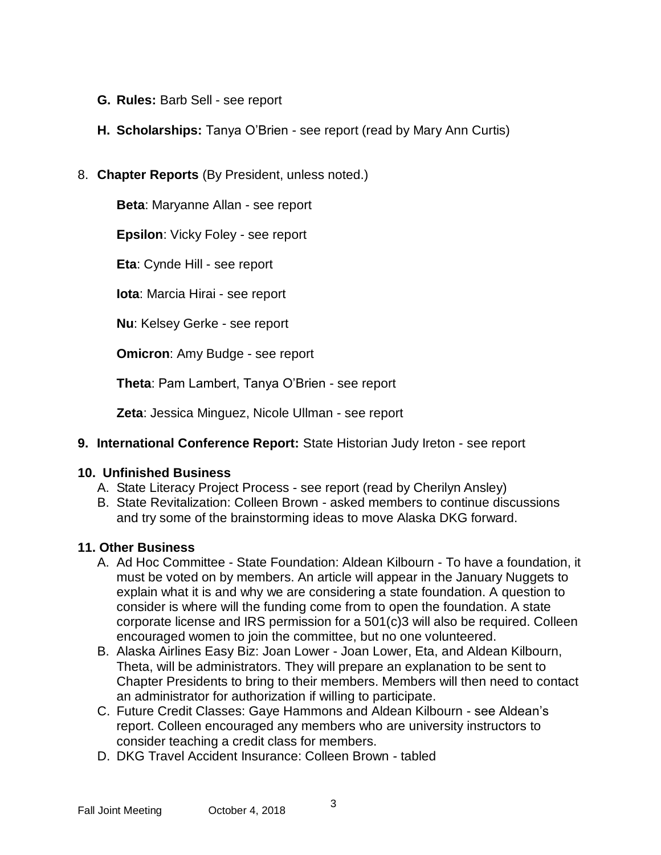- **G. Rules:** Barb Sell see report
- **H. Scholarships:** Tanya O'Brien see report (read by Mary Ann Curtis)
- 8. **Chapter Reports** (By President, unless noted.)

**Beta**: Maryanne Allan - see report

**Epsilon**: Vicky Foley - see report

**Eta**: Cynde Hill - see report

**Iota**: Marcia Hirai - see report

**Nu**: Kelsey Gerke - see report

**Omicron**: Amy Budge - see report

**Theta**: Pam Lambert, Tanya O'Brien - see report

**Zeta**: Jessica Minguez, Nicole Ullman - see report

**9. International Conference Report:** State Historian Judy Ireton - see report

### **10. Unfinished Business**

- A. State Literacy Project Process see report (read by Cherilyn Ansley)
- B. State Revitalization: Colleen Brown asked members to continue discussions and try some of the brainstorming ideas to move Alaska DKG forward.

# **11. Other Business**

- A. Ad Hoc Committee State Foundation: Aldean Kilbourn To have a foundation, it must be voted on by members. An article will appear in the January Nuggets to explain what it is and why we are considering a state foundation. A question to consider is where will the funding come from to open the foundation. A state corporate license and IRS permission for a 501(c)3 will also be required. Colleen encouraged women to join the committee, but no one volunteered.
- B. Alaska Airlines Easy Biz: Joan Lower Joan Lower, Eta, and Aldean Kilbourn, Theta, will be administrators. They will prepare an explanation to be sent to Chapter Presidents to bring to their members. Members will then need to contact an administrator for authorization if willing to participate.
- C. Future Credit Classes: Gaye Hammons and Aldean Kilbourn see Aldean's report. Colleen encouraged any members who are university instructors to consider teaching a credit class for members.
- D. DKG Travel Accident Insurance: Colleen Brown tabled